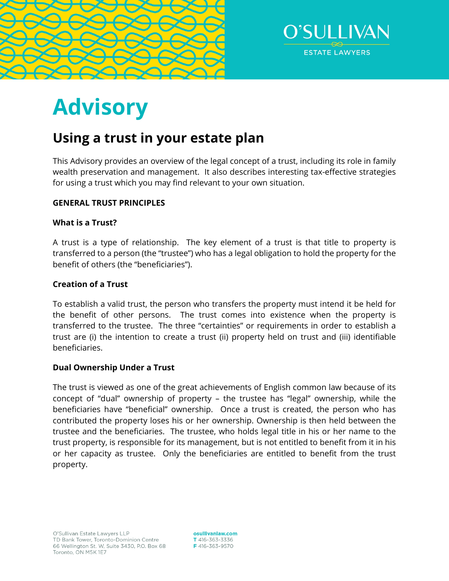



# **Advisory**

# **Using a trust in your estate plan**

This Advisory provides an overview of the legal concept of a trust, including its role in family wealth preservation and management. It also describes interesting tax-effective strategies for using a trust which you may find relevant to your own situation.

# **GENERAL TRUST PRINCIPLES**

#### **What is a Trust?**

A trust is a type of relationship. The key element of a trust is that title to property is transferred to a person (the "trustee") who has a legal obligation to hold the property for the benefit of others (the "beneficiaries").

# **Creation of a Trust**

To establish a valid trust, the person who transfers the property must intend it be held for the benefit of other persons. The trust comes into existence when the property is transferred to the trustee. The three "certainties" or requirements in order to establish a trust are (i) the intention to create a trust (ii) property held on trust and (iii) identifiable beneficiaries.

#### **Dual Ownership Under a Trust**

The trust is viewed as one of the great achievements of English common law because of its concept of "dual" ownership of property – the trustee has "legal" ownership, while the beneficiaries have "beneficial" ownership. Once a trust is created, the person who has contributed the property loses his or her ownership. Ownership is then held between the trustee and the beneficiaries. The trustee, who holds legal title in his or her name to the trust property, is responsible for its management, but is not entitled to benefit from it in his or her capacity as trustee. Only the beneficiaries are entitled to benefit from the trust property.

osullivanlaw.com T 416-363-3336 F416-363-9570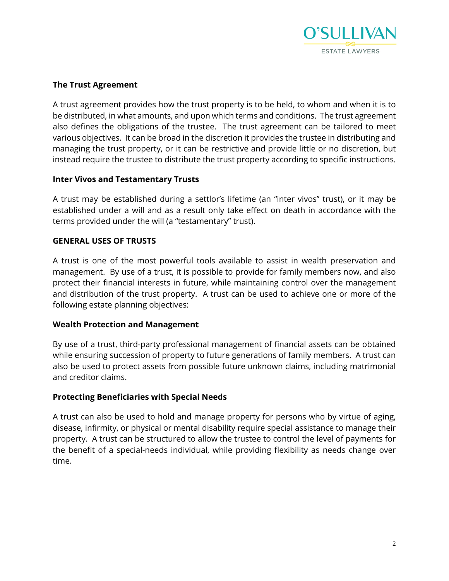

# **The Trust Agreement**

A trust agreement provides how the trust property is to be held, to whom and when it is to be distributed, in what amounts, and upon which terms and conditions. The trust agreement also defines the obligations of the trustee. The trust agreement can be tailored to meet various objectives. It can be broad in the discretion it provides the trustee in distributing and managing the trust property, or it can be restrictive and provide little or no discretion, but instead require the trustee to distribute the trust property according to specific instructions.

#### **Inter Vivos and Testamentary Trusts**

A trust may be established during a settlor's lifetime (an "inter vivos" trust), or it may be established under a will and as a result only take effect on death in accordance with the terms provided under the will (a "testamentary" trust).

# **GENERAL USES OF TRUSTS**

A trust is one of the most powerful tools available to assist in wealth preservation and management. By use of a trust, it is possible to provide for family members now, and also protect their financial interests in future, while maintaining control over the management and distribution of the trust property. A trust can be used to achieve one or more of the following estate planning objectives:

#### **Wealth Protection and Management**

By use of a trust, third-party professional management of financial assets can be obtained while ensuring succession of property to future generations of family members. A trust can also be used to protect assets from possible future unknown claims, including matrimonial and creditor claims.

#### **Protecting Beneficiaries with Special Needs**

A trust can also be used to hold and manage property for persons who by virtue of aging, disease, infirmity, or physical or mental disability require special assistance to manage their property. A trust can be structured to allow the trustee to control the level of payments for the benefit of a special-needs individual, while providing flexibility as needs change over time.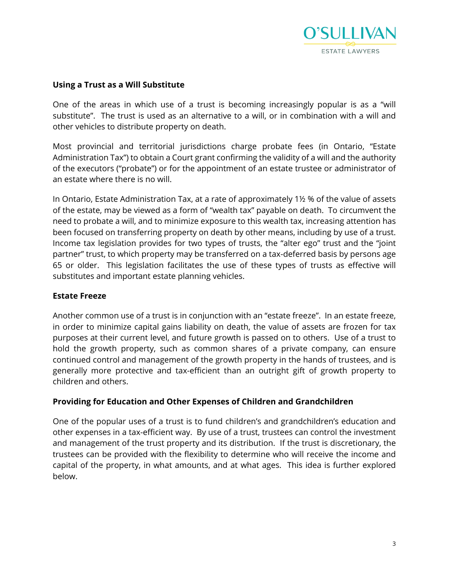

#### **Using a Trust as a Will Substitute**

One of the areas in which use of a trust is becoming increasingly popular is as a "will substitute". The trust is used as an alternative to a will, or in combination with a will and other vehicles to distribute property on death.

Most provincial and territorial jurisdictions charge probate fees (in Ontario, "Estate Administration Tax") to obtain a Court grant confirming the validity of a will and the authority of the executors ("probate") or for the appointment of an estate trustee or administrator of an estate where there is no will.

In Ontario, Estate Administration Tax, at a rate of approximately 1½ % of the value of assets of the estate, may be viewed as a form of "wealth tax" payable on death. To circumvent the need to probate a will, and to minimize exposure to this wealth tax, increasing attention has been focused on transferring property on death by other means, including by use of a trust. Income tax legislation provides for two types of trusts, the "alter ego" trust and the "joint partner" trust, to which property may be transferred on a tax-deferred basis by persons age 65 or older. This legislation facilitates the use of these types of trusts as effective will substitutes and important estate planning vehicles.

#### **Estate Freeze**

Another common use of a trust is in conjunction with an "estate freeze". In an estate freeze, in order to minimize capital gains liability on death, the value of assets are frozen for tax purposes at their current level, and future growth is passed on to others. Use of a trust to hold the growth property, such as common shares of a private company, can ensure continued control and management of the growth property in the hands of trustees, and is generally more protective and tax-efficient than an outright gift of growth property to children and others.

#### **Providing for Education and Other Expenses of Children and Grandchildren**

One of the popular uses of a trust is to fund children's and grandchildren's education and other expenses in a tax-efficient way. By use of a trust, trustees can control the investment and management of the trust property and its distribution. If the trust is discretionary, the trustees can be provided with the flexibility to determine who will receive the income and capital of the property, in what amounts, and at what ages. This idea is further explored below.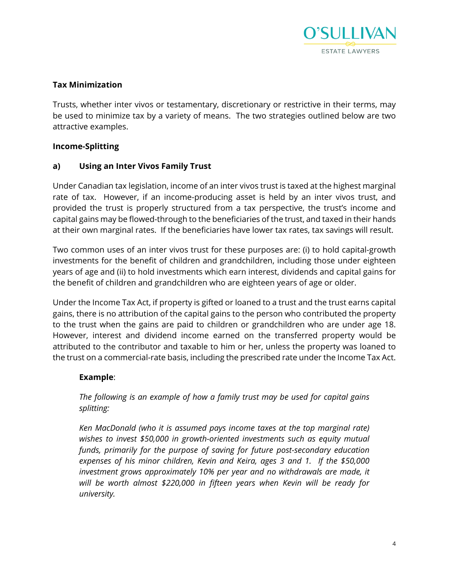

# **Tax Minimization**

Trusts, whether inter vivos or testamentary, discretionary or restrictive in their terms, may be used to minimize tax by a variety of means. The two strategies outlined below are two attractive examples.

#### **Income-Splitting**

#### **a) Using an Inter Vivos Family Trust**

Under Canadian tax legislation, income of an inter vivos trust is taxed at the highest marginal rate of tax. However, if an income-producing asset is held by an inter vivos trust, and provided the trust is properly structured from a tax perspective, the trust's income and capital gains may be flowed-through to the beneficiaries of the trust, and taxed in their hands at their own marginal rates. If the beneficiaries have lower tax rates, tax savings will result.

Two common uses of an inter vivos trust for these purposes are: (i) to hold capital-growth investments for the benefit of children and grandchildren, including those under eighteen years of age and (ii) to hold investments which earn interest, dividends and capital gains for the benefit of children and grandchildren who are eighteen years of age or older.

Under the Income Tax Act, if property is gifted or loaned to a trust and the trust earns capital gains, there is no attribution of the capital gains to the person who contributed the property to the trust when the gains are paid to children or grandchildren who are under age 18. However, interest and dividend income earned on the transferred property would be attributed to the contributor and taxable to him or her, unless the property was loaned to the trust on a commercial-rate basis, including the prescribed rate under the Income Tax Act.

#### **Example**:

*The following is an example of how a family trust may be used for capital gains splitting:*

*Ken MacDonald (who it is assumed pays income taxes at the top marginal rate) wishes to invest \$50,000 in growth-oriented investments such as equity mutual funds, primarily for the purpose of saving for future post-secondary education expenses of his minor children, Kevin and Keira, ages 3 and 1. If the \$50,000 investment grows approximately 10% per year and no withdrawals are made, it will be worth almost \$220,000 in fifteen years when Kevin will be ready for university.*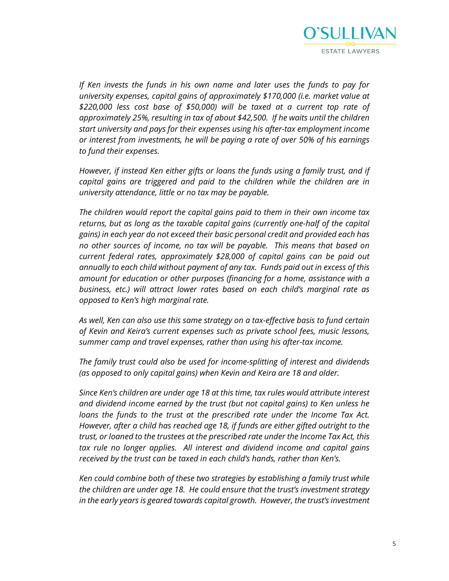

*If Ken invests the funds in his own name and later uses the funds to pay for university expenses, capital gains of approximately \$170,000 (i.e. market value at \$220,000 less cost base of \$50,000) will be taxed at a current top rate of approximately 25%, resulting in tax of about \$42,500. If he waits until the children start university and pays for their expenses using his after-tax employment income or interest from investments, he will be paying a rate of over 50% of his earnings to fund their expenses.*

*However, if instead Ken either gifts or loans the funds using a family trust, and if capital gains are triggered and paid to the children while the children are in university attendance, little or no tax may be payable.* 

*The children would report the capital gains paid to them in their own income tax returns, but as long as the taxable capital gains (currently one-half of the capital gains) in each year do not exceed their basic personal credit and provided each has no other sources of income, no tax will be payable. This means that based on current federal rates, approximately \$28,000 of capital gains can be paid out annually to each child without payment of any tax. Funds paid out in excess of this amount for education or other purposes (financing for a home, assistance with a business, etc.) will attract lower rates based on each child's marginal rate as opposed to Ken's high marginal rate.* 

*As well, Ken can also use this same strategy on a tax-effective basis to fund certain of Kevin and Keira's current expenses such as private school fees, music lessons, summer camp and travel expenses, rather than using his after-tax income.* 

*The family trust could also be used for income-splitting of interest and dividends (as opposed to only capital gains) when Kevin and Keira are 18 and older.* 

*Since Ken's children are under age 18 at this time, tax rules would attribute interest and dividend income earned by the trust (but not capital gains) to Ken unless he loans the funds to the trust at the prescribed rate under the Income Tax Act. However, after a child has reached age 18, if funds are either gifted outright to the trust, or loaned to the trustees at the prescribed rate under the Income Tax Act, this tax rule no longer applies. All interest and dividend income and capital gains received by the trust can be taxed in each child's hands, rather than Ken's.* 

*Ken could combine both of these two strategies by establishing a family trust while the children are under age 18. He could ensure that the trust's investment strategy in the early years is geared towards capital growth. However, the trust's investment*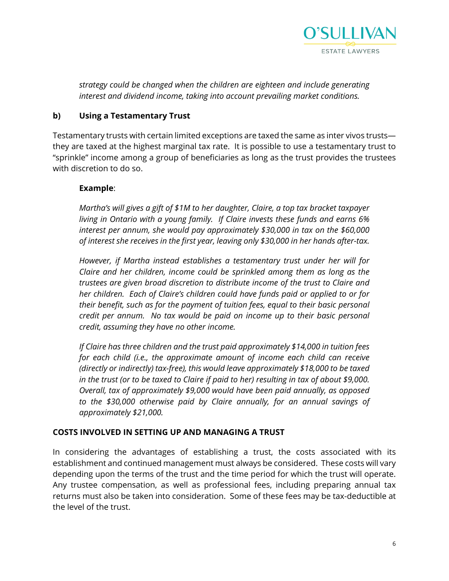

*strategy could be changed when the children are eighteen and include generating interest and dividend income, taking into account prevailing market conditions.*

#### **b) Using a Testamentary Trust**

Testamentary trusts with certain limited exceptions are taxed the same as inter vivos trusts they are taxed at the highest marginal tax rate. It is possible to use a testamentary trust to "sprinkle" income among a group of beneficiaries as long as the trust provides the trustees with discretion to do so.

#### **Example**:

*Martha's will gives a gift of \$1M to her daughter, Claire, a top tax bracket taxpayer living in Ontario with a young family. If Claire invests these funds and earns 6% interest per annum, she would pay approximately \$30,000 in tax on the \$60,000 of interest she receives in the first year, leaving only \$30,000 in her hands after-tax.*

*However, if Martha instead establishes a testamentary trust under her will for Claire and her children, income could be sprinkled among them as long as the trustees are given broad discretion to distribute income of the trust to Claire and her children. Each of Claire's children could have funds paid or applied to or for their benefit, such as for the payment of tuition fees, equal to their basic personal credit per annum. No tax would be paid on income up to their basic personal credit, assuming they have no other income.* 

*If Claire has three children and the trust paid approximately \$14,000 in tuition fees for each child (i.e., the approximate amount of income each child can receive (directly or indirectly) tax-free), this would leave approximately \$18,000 to be taxed in the trust (or to be taxed to Claire if paid to her) resulting in tax of about \$9,000. Overall, tax of approximately \$9,000 would have been paid annually, as opposed to the \$30,000 otherwise paid by Claire annually, for an annual savings of approximately \$21,000.*

#### **COSTS INVOLVED IN SETTING UP AND MANAGING A TRUST**

In considering the advantages of establishing a trust, the costs associated with its establishment and continued management must always be considered. These costs will vary depending upon the terms of the trust and the time period for which the trust will operate. Any trustee compensation, as well as professional fees, including preparing annual tax returns must also be taken into consideration. Some of these fees may be tax-deductible at the level of the trust.